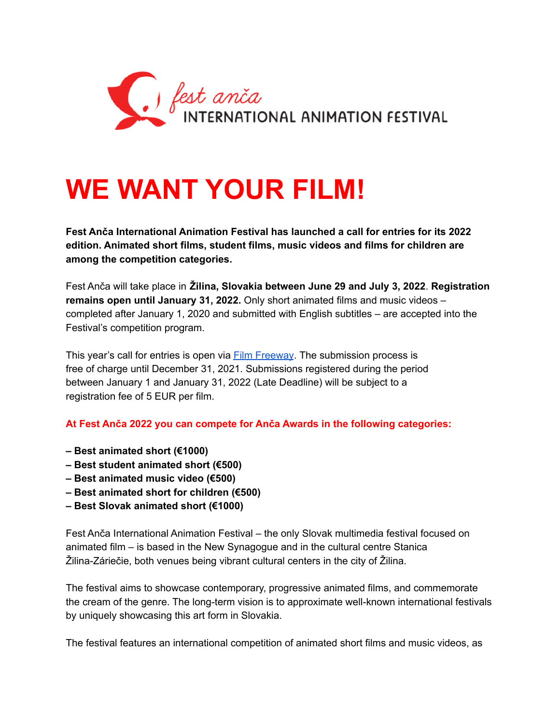

## **WE WANT YOUR FILM!**

**Fest Anča International Animation Festival has launched a call for entries for its 2022 edition. Animated short films, student films, music videos and films for children are among the competition categories.**

Fest Anča will take place in **Žilina, Slovakia between June 29 and July 3, 2022**. **Registration remains open until January 31, 2022.** Only short animated films and music videos – completed after January 1, 2020 and submitted with English subtitles – are accepted into the Festival's competition program.

This year's call for entries is open via Film [Freeway](https://filmfreeway.com/FestAnca2022). The submission process is free of charge until December 31, 2021. Submissions registered during the period between January 1 and January 31, 2022 (Late Deadline) will be subject to a registration fee of 5 EUR per film.

**At Fest Anča 2022 you can compete for Anča Awards in the following categories:**

- **– Best animated short (€1000)**
- **– Best student animated short (€500)**
- **– Best animated music video (€500)**
- **– Best animated short for children (€500)**
- **– Best Slovak animated short (€1000)**

Fest Anča International Animation Festival – the only Slovak multimedia festival focused on animated film – is based in the New Synagogue and in the cultural centre Stanica Žilina-Záriečie, both venues being vibrant cultural centers in the city of Žilina.

The festival aims to showcase contemporary, progressive animated films, and commemorate the cream of the genre. The long-term vision is to approximate well-known international festivals by uniquely showcasing this art form in Slovakia.

The festival features an international competition of animated short films and music videos, as